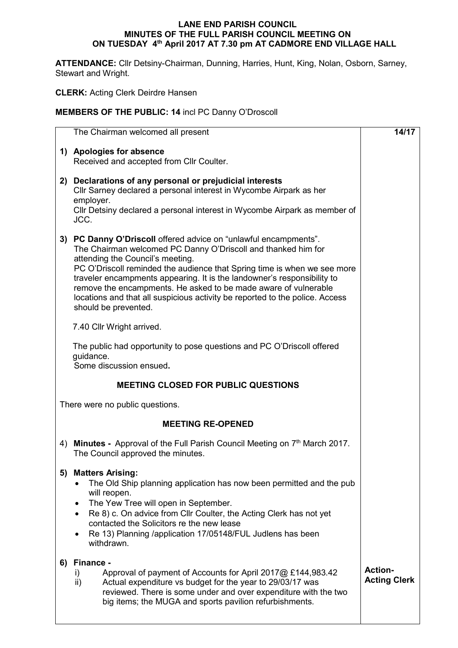## **LANE END PARISH COUNCIL MINUTES OF THE FULL PARISH COUNCIL MEETING ON ON TUESDAY 4 th April 2017 AT 7.30 pm AT CADMORE END VILLAGE HALL**

**ATTENDANCE:** Cllr Detsiny-Chairman, Dunning, Harries, Hunt, King, Nolan, Osborn, Sarney, Stewart and Wright.

**CLERK:** Acting Clerk Deirdre Hansen

## **MEMBERS OF THE PUBLIC: 14** incl PC Danny O'Droscoll

|    | The Chairman welcomed all present                                                                                                                                                                                                                                                                                                                                                                                                                                                                    | 14/17                                 |
|----|------------------------------------------------------------------------------------------------------------------------------------------------------------------------------------------------------------------------------------------------------------------------------------------------------------------------------------------------------------------------------------------------------------------------------------------------------------------------------------------------------|---------------------------------------|
|    | 1) Apologies for absence                                                                                                                                                                                                                                                                                                                                                                                                                                                                             |                                       |
|    | Received and accepted from Cllr Coulter.                                                                                                                                                                                                                                                                                                                                                                                                                                                             |                                       |
| 2) | Declarations of any personal or prejudicial interests<br>Cllr Sarney declared a personal interest in Wycombe Airpark as her<br>employer.<br>CIIr Detsiny declared a personal interest in Wycombe Airpark as member of<br>JCC.                                                                                                                                                                                                                                                                        |                                       |
| 3) | PC Danny O'Driscoll offered advice on "unlawful encampments".<br>The Chairman welcomed PC Danny O'Driscoll and thanked him for<br>attending the Council's meeting.<br>PC O'Driscoll reminded the audience that Spring time is when we see more<br>traveler encampments appearing. It is the landowner's responsibility to<br>remove the encampments. He asked to be made aware of vulnerable<br>locations and that all suspicious activity be reported to the police. Access<br>should be prevented. |                                       |
|    | 7.40 Cllr Wright arrived.                                                                                                                                                                                                                                                                                                                                                                                                                                                                            |                                       |
|    | The public had opportunity to pose questions and PC O'Driscoll offered<br>guidance.<br>Some discussion ensued.                                                                                                                                                                                                                                                                                                                                                                                       |                                       |
|    | <b>MEETING CLOSED FOR PUBLIC QUESTIONS</b>                                                                                                                                                                                                                                                                                                                                                                                                                                                           |                                       |
|    | There were no public questions.                                                                                                                                                                                                                                                                                                                                                                                                                                                                      |                                       |
|    | <b>MEETING RE-OPENED</b>                                                                                                                                                                                                                                                                                                                                                                                                                                                                             |                                       |
| 4) | Minutes - Approval of the Full Parish Council Meeting on 7 <sup>th</sup> March 2017.<br>The Council approved the minutes.                                                                                                                                                                                                                                                                                                                                                                            |                                       |
| 5) | <b>Matters Arising:</b><br>The Old Ship planning application has now been permitted and the pub<br>will reopen.<br>The Yew Tree will open in September.<br>Re 8) c. On advice from Cllr Coulter, the Acting Clerk has not yet<br>$\bullet$<br>contacted the Solicitors re the new lease<br>Re 13) Planning /application 17/05148/FUL Judlens has been<br>$\bullet$<br>withdrawn.                                                                                                                     |                                       |
| 6) | Finance -<br>Approval of payment of Accounts for April 2017@ £144,983.42<br>i)<br>ii)<br>Actual expenditure vs budget for the year to 29/03/17 was<br>reviewed. There is some under and over expenditure with the two<br>big items; the MUGA and sports pavilion refurbishments.                                                                                                                                                                                                                     | <b>Action-</b><br><b>Acting Clerk</b> |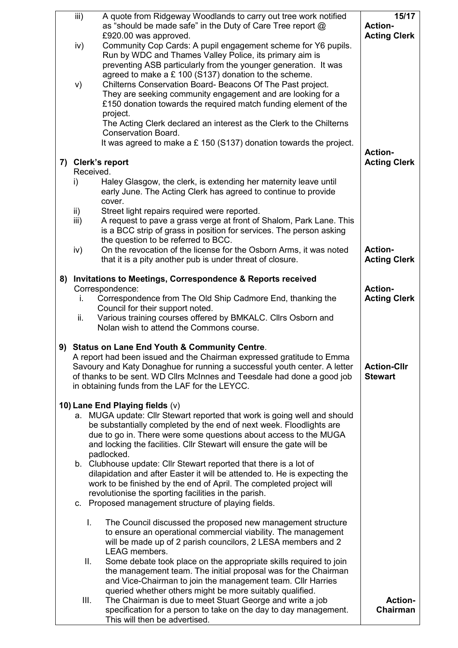| iii)          | A quote from Ridgeway Woodlands to carry out tree work notified                                                       | 15/17               |
|---------------|-----------------------------------------------------------------------------------------------------------------------|---------------------|
|               | as "should be made safe" in the Duty of Care Tree report @                                                            | <b>Action-</b>      |
|               | £920.00 was approved.                                                                                                 | <b>Acting Clerk</b> |
| iv)           | Community Cop Cards: A pupil engagement scheme for Y6 pupils.                                                         |                     |
|               | Run by WDC and Thames Valley Police, its primary aim is                                                               |                     |
|               | preventing ASB particularly from the younger generation. It was                                                       |                     |
|               | agreed to make a £ 100 (S137) donation to the scheme.                                                                 |                     |
| V)            | Chilterns Conservation Board- Beacons Of The Past project.                                                            |                     |
|               | They are seeking community engagement and are looking for a                                                           |                     |
|               | £150 donation towards the required match funding element of the                                                       |                     |
|               | project.                                                                                                              |                     |
|               | The Acting Clerk declared an interest as the Clerk to the Chilterns                                                   |                     |
|               | <b>Conservation Board.</b>                                                                                            |                     |
|               | It was agreed to make a $£$ 150 (S137) donation towards the project.                                                  |                     |
|               |                                                                                                                       | <b>Action-</b>      |
|               | 7) Clerk's report                                                                                                     | <b>Acting Clerk</b> |
|               | Received.                                                                                                             |                     |
| i)            | Haley Glasgow, the clerk, is extending her maternity leave until                                                      |                     |
|               | early June. The Acting Clerk has agreed to continue to provide                                                        |                     |
|               | cover.                                                                                                                |                     |
| $\mathsf{ii}$ | Street light repairs required were reported.                                                                          |                     |
| iii)          | A request to pave a grass verge at front of Shalom, Park Lane. This                                                   |                     |
|               | is a BCC strip of grass in position for services. The person asking                                                   |                     |
|               | the question to be referred to BCC.                                                                                   |                     |
| iv)           | On the revocation of the license for the Osborn Arms, it was noted                                                    | <b>Action-</b>      |
|               | that it is a pity another pub is under threat of closure.                                                             | <b>Acting Clerk</b> |
|               |                                                                                                                       |                     |
|               | 8) Invitations to Meetings, Correspondence & Reports received                                                         |                     |
|               | Correspondence:                                                                                                       | <b>Action-</b>      |
| İ.            | Correspondence from The Old Ship Cadmore End, thanking the                                                            | <b>Acting Clerk</b> |
|               | Council for their support noted.                                                                                      |                     |
| ii.           | Various training courses offered by BMKALC. Cllrs Osborn and                                                          |                     |
|               | Nolan wish to attend the Commons course.                                                                              |                     |
|               |                                                                                                                       |                     |
|               | 9) Status on Lane End Youth & Community Centre.                                                                       |                     |
|               | A report had been issued and the Chairman expressed gratitude to Emma                                                 |                     |
|               | Savoury and Katy Donaghue for running a successful youth center. A letter                                             | <b>Action-Cllr</b>  |
|               | of thanks to be sent. WD Cllrs McInnes and Teesdale had done a good job                                               | <b>Stewart</b>      |
|               | in obtaining funds from the LAF for the LEYCC.                                                                        |                     |
|               |                                                                                                                       |                     |
|               | 10) Lane End Playing fields (v)                                                                                       |                     |
|               | a. MUGA update: Cllr Stewart reported that work is going well and should                                              |                     |
|               | be substantially completed by the end of next week. Floodlights are                                                   |                     |
|               | due to go in. There were some questions about access to the MUGA                                                      |                     |
|               | and locking the facilities. Cllr Stewart will ensure the gate will be                                                 |                     |
|               | padlocked.                                                                                                            |                     |
|               | b. Clubhouse update: Cllr Stewart reported that there is a lot of                                                     |                     |
|               | dilapidation and after Easter it will be attended to. He is expecting the                                             |                     |
|               | work to be finished by the end of April. The completed project will                                                   |                     |
|               | revolutionise the sporting facilities in the parish.                                                                  |                     |
|               | c. Proposed management structure of playing fields.                                                                   |                     |
|               |                                                                                                                       |                     |
| L.            | The Council discussed the proposed new management structure                                                           |                     |
|               | to ensure an operational commercial viability. The management                                                         |                     |
|               | will be made up of 2 parish councilors, 2 LESA members and 2                                                          |                     |
|               | LEAG members.                                                                                                         |                     |
| ΙΙ.           | Some debate took place on the appropriate skills required to join                                                     |                     |
|               | the management team. The initial proposal was for the Chairman                                                        |                     |
|               | and Vice-Chairman to join the management team. Cllr Harries                                                           |                     |
| Ш.            | queried whether others might be more suitably qualified.<br>The Chairman is due to meet Stuart George and write a job | Action-             |
|               | specification for a person to take on the day to day management.                                                      | Chairman            |
|               | This will then be advertised.                                                                                         |                     |
|               |                                                                                                                       |                     |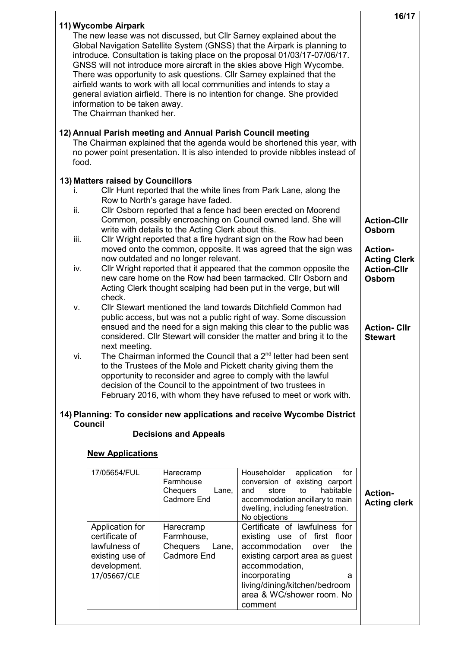|                                                                      |                                                      |                                                                                                                                                                                                                                                                                                          | 16/17                                     |
|----------------------------------------------------------------------|------------------------------------------------------|----------------------------------------------------------------------------------------------------------------------------------------------------------------------------------------------------------------------------------------------------------------------------------------------------------|-------------------------------------------|
| 11) Wycombe Airpark                                                  |                                                      | The new lease was not discussed, but Cllr Sarney explained about the<br>Global Navigation Satellite System (GNSS) that the Airpark is planning to<br>introduce. Consultation is taking place on the proposal 01/03/17-07/06/17.                                                                          |                                           |
|                                                                      |                                                      | GNSS will not introduce more aircraft in the skies above High Wycombe.<br>There was opportunity to ask questions. Cllr Sarney explained that the<br>airfield wants to work with all local communities and intends to stay a<br>general aviation airfield. There is no intention for change. She provided |                                           |
| information to be taken away.<br>The Chairman thanked her.           |                                                      |                                                                                                                                                                                                                                                                                                          |                                           |
| 12) Annual Parish meeting and Annual Parish Council meeting<br>food. |                                                      | The Chairman explained that the agenda would be shortened this year, with<br>no power point presentation. It is also intended to provide nibbles instead of                                                                                                                                              |                                           |
| 13) Matters raised by Councillors<br>İ.                              |                                                      | Cllr Hunt reported that the white lines from Park Lane, along the                                                                                                                                                                                                                                        |                                           |
|                                                                      | Row to North's garage have faded.                    |                                                                                                                                                                                                                                                                                                          |                                           |
| ii.                                                                  | write with details to the Acting Clerk about this.   | Cllr Osborn reported that a fence had been erected on Moorend<br>Common, possibly encroaching on Council owned land. She will                                                                                                                                                                            | <b>Action-Cllr</b><br><b>Osborn</b>       |
| iii.                                                                 |                                                      | Cllr Wright reported that a fire hydrant sign on the Row had been<br>moved onto the common, opposite. It was agreed that the sign was                                                                                                                                                                    | <b>Action-</b>                            |
| iv.                                                                  | now outdated and no longer relevant.                 | Cllr Wright reported that it appeared that the common opposite the                                                                                                                                                                                                                                       | <b>Acting Clerk</b><br><b>Action-Cllr</b> |
| check.                                                               |                                                      | new care home on the Row had been tarmacked. Cllr Osborn and<br>Acting Clerk thought scalping had been put in the verge, but will                                                                                                                                                                        | <b>Osborn</b>                             |
| V.                                                                   |                                                      | Cllr Stewart mentioned the land towards Ditchfield Common had                                                                                                                                                                                                                                            |                                           |
|                                                                      |                                                      | public access, but was not a public right of way. Some discussion<br>ensued and the need for a sign making this clear to the public was<br>considered. Cllr Stewart will consider the matter and bring it to the                                                                                         | <b>Action-Cllr</b><br><b>Stewart</b>      |
| next meeting.<br>vi.                                                 |                                                      | The Chairman informed the Council that a 2 <sup>nd</sup> letter had been sent<br>to the Trustees of the Mole and Pickett charity giving them the                                                                                                                                                         |                                           |
|                                                                      |                                                      | opportunity to reconsider and agree to comply with the lawful<br>decision of the Council to the appointment of two trustees in<br>February 2016, with whom they have refused to meet or work with.                                                                                                       |                                           |
|                                                                      |                                                      | 14) Planning: To consider new applications and receive Wycombe District                                                                                                                                                                                                                                  |                                           |
| <b>Council</b>                                                       | <b>Decisions and Appeals</b>                         |                                                                                                                                                                                                                                                                                                          |                                           |
| <b>New Applications</b>                                              |                                                      |                                                                                                                                                                                                                                                                                                          |                                           |
| 17/05654/FUL                                                         | Harecramp                                            | Householder<br>application<br>for                                                                                                                                                                                                                                                                        |                                           |
|                                                                      | Farmhouse<br><b>Chequers</b><br>Lane,<br>Cadmore End | conversion of existing carport<br>habitable<br>to<br>and<br>store<br>accommodation ancillary to main<br>dwelling, including fenestration.<br>No objections                                                                                                                                               | <b>Action-</b><br><b>Acting clerk</b>     |
| Application for                                                      | Harecramp                                            | Certificate of lawfulness for                                                                                                                                                                                                                                                                            |                                           |
| certificate of<br>lawfulness of                                      | Farmhouse,<br><b>Chequers</b><br>Lane,               | existing use of first floor<br>accommodation<br>the<br>over                                                                                                                                                                                                                                              |                                           |
| existing use of<br>development.                                      | <b>Cadmore End</b>                                   | existing carport area as guest<br>accommodation,                                                                                                                                                                                                                                                         |                                           |
| 17/05667/CLE                                                         |                                                      | incorporating<br>a                                                                                                                                                                                                                                                                                       |                                           |
|                                                                      |                                                      | living/dining/kitchen/bedroom<br>area & WC/shower room. No<br>comment                                                                                                                                                                                                                                    |                                           |
|                                                                      |                                                      |                                                                                                                                                                                                                                                                                                          |                                           |